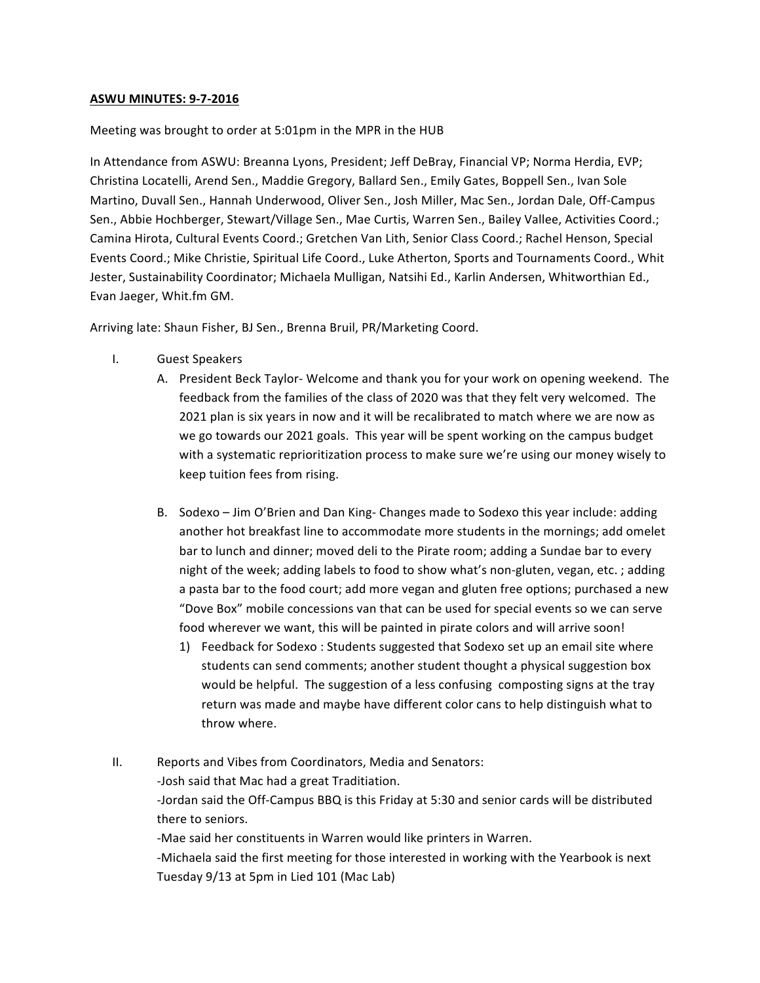# **ASWU MINUTES: 9-7-2016**

# Meeting was brought to order at 5:01pm in the MPR in the HUB

In Attendance from ASWU: Breanna Lyons, President; Jeff DeBray, Financial VP; Norma Herdia, EVP; Christina Locatelli, Arend Sen., Maddie Gregory, Ballard Sen., Emily Gates, Boppell Sen., Ivan Sole Martino, Duvall Sen., Hannah Underwood, Oliver Sen., Josh Miller, Mac Sen., Jordan Dale, Off-Campus Sen., Abbie Hochberger, Stewart/Village Sen., Mae Curtis, Warren Sen., Bailey Vallee, Activities Coord.; Camina Hirota, Cultural Events Coord.; Gretchen Van Lith, Senior Class Coord.; Rachel Henson, Special Events Coord.; Mike Christie, Spiritual Life Coord., Luke Atherton, Sports and Tournaments Coord., Whit Jester, Sustainability Coordinator; Michaela Mulligan, Natsihi Ed., Karlin Andersen, Whitworthian Ed., Evan Jaeger, Whit.fm GM.

Arriving late: Shaun Fisher, BJ Sen., Brenna Bruil, PR/Marketing Coord.

Tuesday 9/13 at 5pm in Lied 101 (Mac Lab)

- I. Guest Speakers
	- A. President Beck Taylor- Welcome and thank you for your work on opening weekend. The feedback from the families of the class of 2020 was that they felt very welcomed. The 2021 plan is six years in now and it will be recalibrated to match where we are now as we go towards our 2021 goals. This year will be spent working on the campus budget with a systematic reprioritization process to make sure we're using our money wisely to keep tuition fees from rising.
		- B. Sodexo Jim O'Brien and Dan King- Changes made to Sodexo this year include: adding another hot breakfast line to accommodate more students in the mornings; add omelet bar to lunch and dinner; moved deli to the Pirate room; adding a Sundae bar to every night of the week; adding labels to food to show what's non-gluten, vegan, etc.; adding a pasta bar to the food court; add more vegan and gluten free options; purchased a new "Dove Box" mobile concessions van that can be used for special events so we can serve food wherever we want, this will be painted in pirate colors and will arrive soon!
			- 1) Feedback for Sodexo: Students suggested that Sodexo set up an email site where students can send comments; another student thought a physical suggestion box would be helpful. The suggestion of a less confusing composting signs at the tray return was made and maybe have different color cans to help distinguish what to throw where.

II. Reports and Vibes from Coordinators, Media and Senators: -Josh said that Mac had a great Traditiation. -Jordan said the Off-Campus BBQ is this Friday at 5:30 and senior cards will be distributed there to seniors. -Mae said her constituents in Warren would like printers in Warren. -Michaela said the first meeting for those interested in working with the Yearbook is next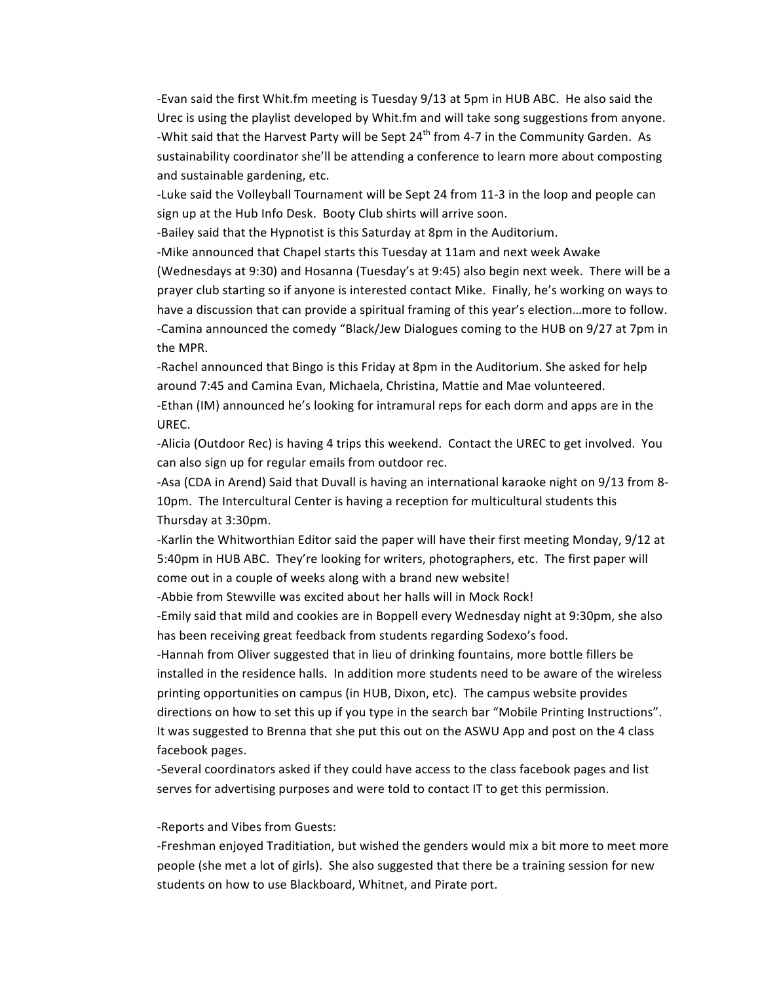-Evan said the first Whit.fm meeting is Tuesday 9/13 at 5pm in HUB ABC. He also said the Urec is using the playlist developed by Whit.fm and will take song suggestions from anyone. -Whit said that the Harvest Party will be Sept 24<sup>th</sup> from 4-7 in the Community Garden. As sustainability coordinator she'll be attending a conference to learn more about composting and sustainable gardening, etc.

-Luke said the Volleyball Tournament will be Sept 24 from 11-3 in the loop and people can sign up at the Hub Info Desk. Booty Club shirts will arrive soon.

-Bailey said that the Hypnotist is this Saturday at 8pm in the Auditorium.

-Mike announced that Chapel starts this Tuesday at 11am and next week Awake

(Wednesdays at 9:30) and Hosanna (Tuesday's at 9:45) also begin next week. There will be a prayer club starting so if anyone is interested contact Mike. Finally, he's working on ways to have a discussion that can provide a spiritual framing of this year's election...more to follow. -Camina announced the comedy "Black/Jew Dialogues coming to the HUB on 9/27 at 7pm in the MPR.

-Rachel announced that Bingo is this Friday at 8pm in the Auditorium. She asked for help around 7:45 and Camina Evan, Michaela, Christina, Mattie and Mae volunteered.

-Ethan (IM) announced he's looking for intramural reps for each dorm and apps are in the UREC.

-Alicia (Outdoor Rec) is having 4 trips this weekend. Contact the UREC to get involved. You can also sign up for regular emails from outdoor rec.

-Asa (CDA in Arend) Said that Duvall is having an international karaoke night on 9/13 from 8-10pm. The Intercultural Center is having a reception for multicultural students this Thursday at 3:30pm.

-Karlin the Whitworthian Editor said the paper will have their first meeting Monday, 9/12 at 5:40pm in HUB ABC. They're looking for writers, photographers, etc. The first paper will come out in a couple of weeks along with a brand new website!

-Abbie from Stewville was excited about her halls will in Mock Rock!

-Emily said that mild and cookies are in Boppell every Wednesday night at 9:30pm, she also has been receiving great feedback from students regarding Sodexo's food.

-Hannah from Oliver suggested that in lieu of drinking fountains, more bottle fillers be installed in the residence halls. In addition more students need to be aware of the wireless printing opportunities on campus (in HUB, Dixon, etc). The campus website provides directions on how to set this up if you type in the search bar "Mobile Printing Instructions". It was suggested to Brenna that she put this out on the ASWU App and post on the 4 class facebook pages.

-Several coordinators asked if they could have access to the class facebook pages and list serves for advertising purposes and were told to contact IT to get this permission.

# -Reports and Vibes from Guests:

-Freshman enjoyed Traditiation, but wished the genders would mix a bit more to meet more people (she met a lot of girls). She also suggested that there be a training session for new students on how to use Blackboard, Whitnet, and Pirate port.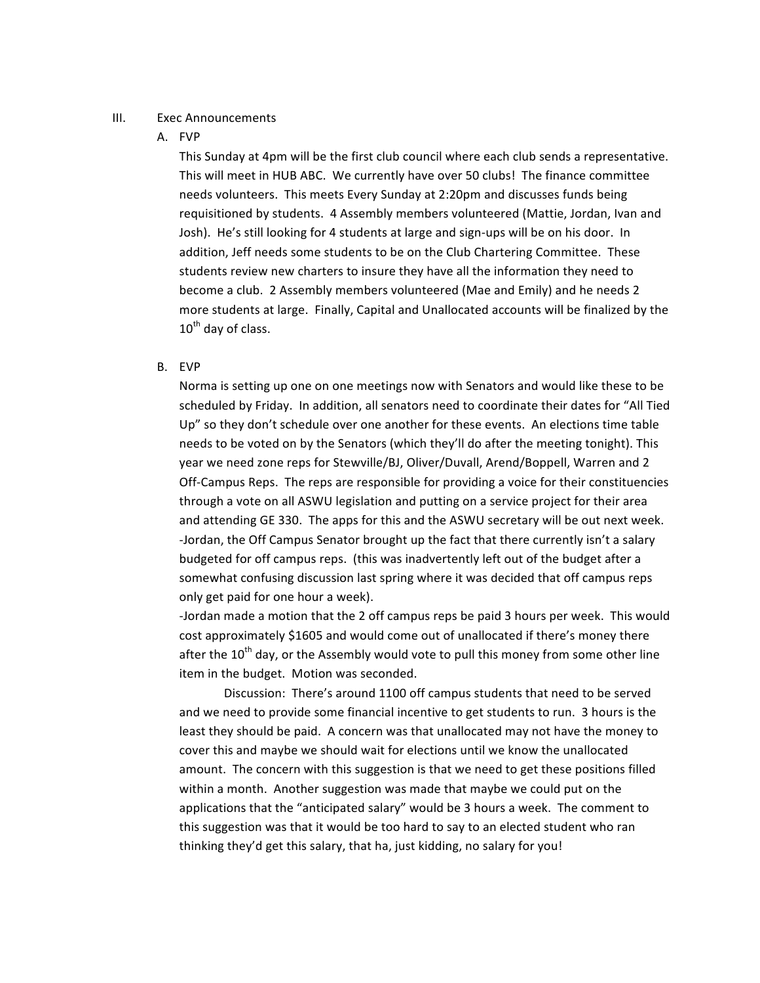### III. Exec Announcements

### A. FVP

This Sunday at 4pm will be the first club council where each club sends a representative. This will meet in HUB ABC. We currently have over 50 clubs! The finance committee needs volunteers. This meets Every Sunday at 2:20pm and discusses funds being requisitioned by students. 4 Assembly members volunteered (Mattie, Jordan, Ivan and Josh). He's still looking for 4 students at large and sign-ups will be on his door. In addition, Jeff needs some students to be on the Club Chartering Committee. These students review new charters to insure they have all the information they need to become a club. 2 Assembly members volunteered (Mae and Emily) and he needs 2 more students at large. Finally, Capital and Unallocated accounts will be finalized by the  $10^{th}$  day of class.

#### B. EVP

Norma is setting up one on one meetings now with Senators and would like these to be scheduled by Friday. In addition, all senators need to coordinate their dates for "All Tied Up" so they don't schedule over one another for these events. An elections time table needs to be voted on by the Senators (which they'll do after the meeting tonight). This year we need zone reps for Stewville/BJ, Oliver/Duvall, Arend/Boppell, Warren and 2 Off-Campus Reps. The reps are responsible for providing a voice for their constituencies through a vote on all ASWU legislation and putting on a service project for their area and attending GE 330. The apps for this and the ASWU secretary will be out next week. -Jordan, the Off Campus Senator brought up the fact that there currently isn't a salary budgeted for off campus reps. (this was inadvertently left out of the budget after a somewhat confusing discussion last spring where it was decided that off campus reps only get paid for one hour a week).

-Jordan made a motion that the 2 off campus reps be paid 3 hours per week. This would cost approximately \$1605 and would come out of unallocated if there's money there after the  $10^{th}$  day, or the Assembly would vote to pull this money from some other line item in the budget. Motion was seconded.

Discussion: There's around 1100 off campus students that need to be served and we need to provide some financial incentive to get students to run. 3 hours is the least they should be paid. A concern was that unallocated may not have the money to cover this and maybe we should wait for elections until we know the unallocated amount. The concern with this suggestion is that we need to get these positions filled within a month. Another suggestion was made that maybe we could put on the applications that the "anticipated salary" would be 3 hours a week. The comment to this suggestion was that it would be too hard to say to an elected student who ran thinking they'd get this salary, that ha, just kidding, no salary for you!